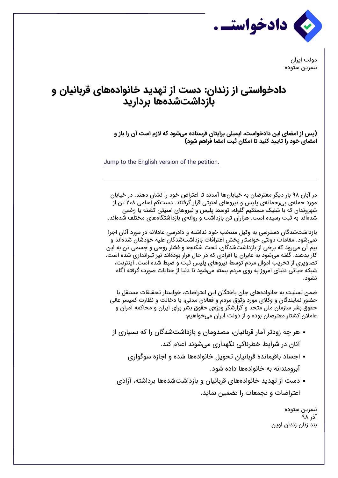

دولت ایران نسرین ستوده

## **دادخواستی از زندان: دست از تهدید خانوادههای قربانیان و بازداشتشدهها بردارید**

**(پس از امضای این دادخواست، ایمیلی برایتان فرستاده میشود که لازم است آن را باز و امضای خود را تاد کنید تا امکان ثبت امضا فراهم شود)**

Jump to the English version of the petition.

در آبان ۹۸ بار دیگر معترضان به خیابانها آمدند تا اعتراض خود را نشان دهند. در خیابان مورد حملهی بیرحمانهی پلیس و نیروهای امنیتی قرار گرفتند. دستکم اسامی ۲۰۸ تن از شهروندان که با شلیک مستقیم گلوله، توسط پلیس و نیروهای امنیتی کشته یا زخمی شدهاند به ثبت رسیده است. هزاران تن بازداشت و روانهی بازداشتگاههای مختلف شدهاند.

بازداشتشدگان دسترسی به وکیل منتخب خود نداشته و دادرسی عادلانه در مورد آنان اجرا نمیشود. مقامات دولتی خواستار پخش اعترافات بازداشتشدگان علیه خودشان شدهاند و بیم آن میرود که برخی از بازداشتشدگان، تحت شکنجه و فشار روحی و جسمی تن به این کار بدهند. گفته میشود به عابران یا افرادی که در حال فرار بودهاند نیز تیراندازی شده است. تصاویری از تخریب اموال مردم توسط نیروهای پلیس ثبت و ضبط شده است. اینترنت، شبکه حیاتی دنیای امروز به روی مردم بسته میشود تا دنیا از جنایات صورت گرفته آگاه نشود.

ضمن تسلیت به خانوادههای جان باختگان این اعتراضات، خواستار تحقیقات مستقل با حضور نمایندگان و وکلای مورد وثوق مردم و فعالان مدنی، با دخالت و نظارت کمیسر عالی حقوق بشر سازمان ملل متحد و گزارشگر ویژهی حقوق بشر برای ایران و محاکمه آمران و عاملان کشتار معترضان بوده و از دولت ایران میخواهیم:

هر چه زودتر آمار قربانیان، مصدومان و بازداشتشدگان را که بسیاری از

آنان در شرایط خطرناکی نگهداری میشوند اعلام کند.

- اجساد باقیمانده قربانیان تحویل خانوادهها شده و اجازه سوگواری آبرومندانه به خانوادهها داده شود.
- دست از تهدید خانوادههای قربانیان و بازداشتشدهها برداشته، آزادی اعتراضات و تجمعات را تضمین نماید.

نسرین ستوده آذر ۹۸ بند زنان زندان اوین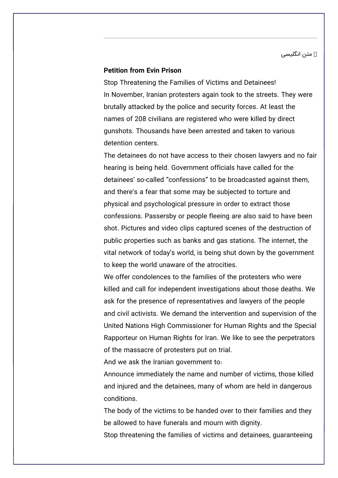◄ متن انگلیسی

## **Petition from Evin Prison**

Stop Threatening the Families of Victims and Detainees! In November, Iranian protesters again took to the streets. They were brutally attacked by the police and security forces. At least the names of 208 civilians are registered who were killed by direct qunshots. Thousands have been arrested and taken to various detention centers.

The detainees do not have access to their chosen lawyers and no fair hearing is being held. Government officials have called for the detainees' so-called "confessions" to be broadcasted against them. and there's a fear that some may be subjected to torture and physical and psychological pressure in order to extract those confessions. Passersby or people fleeing are also said to have been shot. Pictures and video clips captured scenes of the destruction of public properties such as banks and gas stations. The internet, the vital network of today's world, is being shut down by the government to keep the world unaware of the atrocities.

We offer condolences to the families of the protesters who were killed and call for independent investigations about those deaths. We ask for the presence of representatives and lawyers of the people and civil activists. We demand the intervention and supervision of the United Nations High Commissioner for Human Rights and the Special Rapporteur on Human Rights for Iran. We like to see the perpetrators of the massacre of protesters put on trial.

And we ask the Iranian government to:

Announce immediately the name and number of victims, those killed and injured and the detainees, many of whom are held in dangerous .conditions

The body of the victims to be handed over to their families and they be allowed to have funerals and mourn with dignity.

Stop threatening the families of victims and detainees, guaranteeing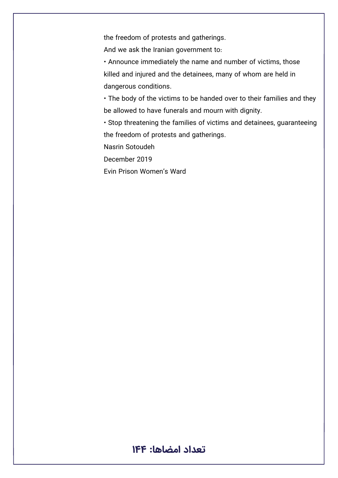the freedom of protests and gatherings.

And we ask the Iranian government to:

• Announce immediately the name and number of victims, those killed and injured and the detainees, many of whom are held in dangerous conditions.

• The body of the victims to be handed over to their families and they be allowed to have funerals and mourn with dignity.

• Stop threatening the families of victims and detainees, guaranteeing the freedom of protests and gatherings.

Nasrin Sotoudeh

December 2019

Evin Prison Women's Ward

## **تعداد امضاها: ۱۴۴**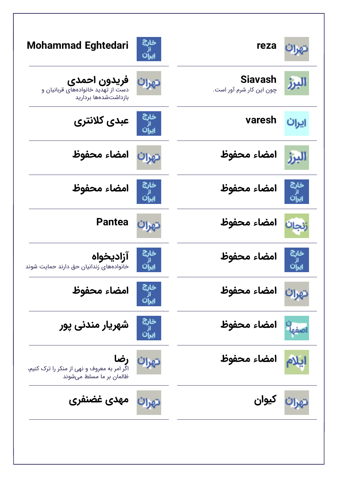| Mohammad Eghtedari                                                                    | خارج<br>ایران       | reza                                |                           |
|---------------------------------------------------------------------------------------|---------------------|-------------------------------------|---------------------------|
| فريدون احمدى<br>دست از تهدید خانوادههای قربانیان و<br>بازداشتشدهها برداريد            | تهرا                | Siavash<br>چون این کار شرم آور است. | اليزز                     |
| عبدى كلانترى                                                                          | خارج<br>از          | varesh                              | ایران                     |
| امضاء محفوظ                                                                           | تهران               | امضاء محفوظ                         |                           |
| امضاء محفوظ                                                                           | خارج<br>از<br>ایران | امضاء محفوظ                         | خارج<br>از<br>ایران       |
| <b>Pantea</b>                                                                         | تهرات               | امضاء محفوظ                         | زنجان                     |
| آزاديخواه<br>خانوادههای زندانیان حق دارند حمایت شوند                                  | خارج                | امضاء محفوظ                         |                           |
| امضاء محفوظ                                                                           | خارج<br>از<br>ایران | تهران امضاء محفوظ                   |                           |
| شهریار مندنی پور                                                                      | خارج<br>از<br>ایران | امضاء محفوظ                         | اصفها                     |
| <b>رضا</b><br>اگر امر به معروف و نهی از منکر را ترک کنیم،<br>ظالمان بر ما مسلط میشوند | تهران               | امضاء محفوظ                         | ایلام                     |
| تهرات مهدی غضنفری                                                                     |                     |                                     | تهرا <mark>ن</mark> کیوان |
|                                                                                       |                     |                                     |                           |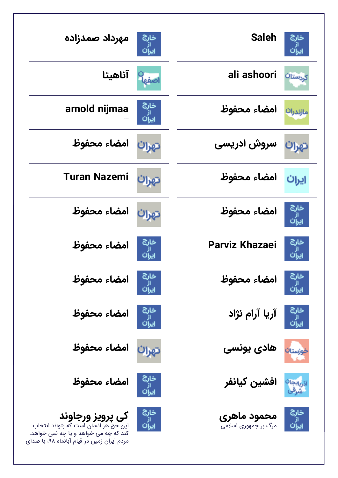| مهرداد صمدزاده<br>خارج<br>ايران                                                                                                                                                                | <b>Saleh</b>                               | غارچ                           |
|------------------------------------------------------------------------------------------------------------------------------------------------------------------------------------------------|--------------------------------------------|--------------------------------|
| آناهيتا<br>صفه                                                                                                                                                                                 | ali ashoori                                | کردستان                        |
| خارج<br>arnold nijmaa                                                                                                                                                                          | امضاء محفوظ                                | مازندرات                       |
| امضاء محفوظ<br>تهران                                                                                                                                                                           | سروش ادریسی                                | تهران                          |
| <b>Turan Nazemi</b><br>تهران                                                                                                                                                                   | امضاء محفوظ                                | ایران                          |
| امضاء محفوظ<br>تهرات                                                                                                                                                                           | امضاء محفوظ                                | خارج<br>"<br>ایران             |
| خارج<br>امضاء محفوظ                                                                                                                                                                            | <b>Parviz Khazaei</b>                      | خارج<br>ىران                   |
| خانج<br>امضاء محفوظ<br>از<br>ایران                                                                                                                                                             | امضاء محفوظ                                | خانج<br>ايران                  |
| خارج<br>امضاء محفوظ<br>از<br>ایران                                                                                                                                                             | آریا آرام نژاد                             | خارج<br><sub>از</sub><br>ایران |
| امضاء محفوظ<br>تهرات                                                                                                                                                                           | هادی یونسی                                 | <mark>فوزستا</mark> ت          |
| خارج<br>امضاء محفوظ<br>از<br>ايران                                                                                                                                                             | افشين كيانفر                               | دربایجان<br>شرقی               |
| خارج<br>کی پرویز ورجاوند<br><sub>از</sub><br>ایرا <sup>ن</sup><br>این حق هر انسان است که بتواند انتخاب<br>کند که چه می خواهد و یا چه نمی خواهد.<br>مردم ایران زمین در قیام آبانماه ۹۸، با صدای | <b>محمود ماهری</b><br>مرگ بر جمهوری اسلامی | خارج<br><sub>از</sub><br>ایران |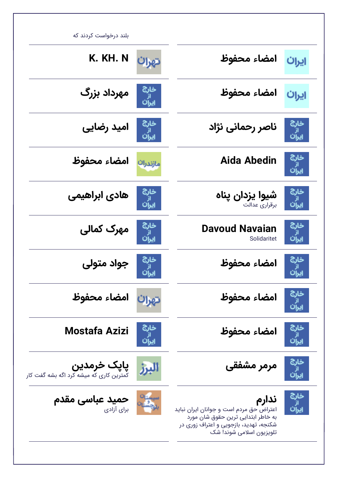| بلند درخواست کردند که                                       |                                                       |                                                                                                                                                              |                        |
|-------------------------------------------------------------|-------------------------------------------------------|--------------------------------------------------------------------------------------------------------------------------------------------------------------|------------------------|
| K. KH. N                                                    | تهران                                                 | امضاء محفوظ                                                                                                                                                  | ایران                  |
| مهرداد بزرگ                                                 | خارج<br>ایران<br>ایران                                | امضاء محفوظ                                                                                                                                                  | ایران                  |
| امید رضایی                                                  | خارج<br>از<br>ایران                                   | ناصر رحمانی نژاد                                                                                                                                             | خارج<br>ان<br>ایران    |
| امضاء محفوظ                                                 | مازندران                                              | Aida Abedin                                                                                                                                                  | خارج<br>ان<br>ایران    |
| هادی ابراهیمی                                               | خارج<br>از<br>ایرا <sup>ن</sup>                       | شيوا يزدان پناه<br>برقرارى عدالت                                                                                                                             | خارج<br>ایران<br>ایران |
| مهرک کمالی                                                  | خارج<br>از<br>ایران                                   | <b>Davoud Navaian</b><br>Solidaritet                                                                                                                         | خارج<br>ايران          |
| جواد متولی                                                  | خارج<br>ایراُن                                        | امضاء محفوظ                                                                                                                                                  | خارج<br>ایرآن          |
| امضاء محفوظ                                                 | تهران                                                 | امضاء محفوظ                                                                                                                                                  | خارج<br>از<br>ایران    |
| Mostafa Azizi                                               | خارج<br>ایران<br>ایران                                | امضاء محفوظ                                                                                                                                                  | خارج<br>از<br>ایران    |
| پاپک خرمدین<br>.<br>کمترین کاری که میشه کرد اگه بشه گفت کار | البرز                                                 | مرمر مشفقی                                                                                                                                                   | خارج<br>از<br>ایران    |
| حمید عباسی مقدم<br>برای آزادی                               | ىيىستا <sup>ن</sup><br><sub>م</sub> چشتا <sup>ر</sup> | ندارم<br>اعتراض حق مردم است و جوانان ایران نباید<br>به خاطر ابتدایی ترین حقوق شان مورد<br>شکنجه، تهدید، بازجویی و اعتراف زوری در<br>تلویزیون اسلامی شوند! شک | خارج<br>از<br>ایران    |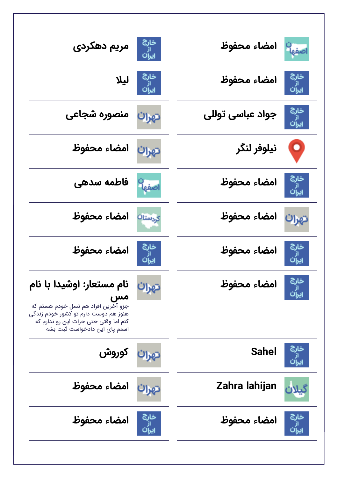| خار <sup>ج</sup> مریم دهکردی<br><sub>ایرا</sub> ن                                                                                                                                        |                                        | امضاء محفوظ      | اصفها                  |
|------------------------------------------------------------------------------------------------------------------------------------------------------------------------------------------|----------------------------------------|------------------|------------------------|
|                                                                                                                                                                                          | خار <sup>ج</sup> لیلا<br><sub>ان</sub> | امضاء محفوظ      | خارج<br>از<br>ایران    |
| تهران منصوره شجاعی                                                                                                                                                                       |                                        | جواد عباسی توللی | خارج<br>ایران<br>ایران |
| تهران امضاء محفوظ                                                                                                                                                                        |                                        | نيلوفر لنگر      | 9,                     |
| ا <mark>صفها<sup>ن</sup>ا فاطمه سدهی</mark>                                                                                                                                              |                                        | امضاء محفوظ      | خارج<br>از<br>ایران    |
| امضاء محفوظ                                                                                                                                                                              | كردستان                                | امضاء محفوظ      | تهران                  |
| امضاء محفوظ                                                                                                                                                                              | خارج<br>از<br>ایران                    | امضاء محفوظ      | حارج<br>از<br>ایران    |
| نام مستعار: اوشیدا با نام<br>مس<br>جزو آخرین افراد هم نسل خودم هستم که<br>هنوز هم دوست دارم تو کشور خودم زندگی<br>کنم اما وقتی حتی جرات این رو ندارم که<br>اسمم یای این دادخواست ثبت بشه | تهران                                  | امضاء محفوظ      |                        |
| تهرا <mark>ن</mark> کوروش                                                                                                                                                                |                                        | <b>Sahel</b>     |                        |
| امضاء محفوظ                                                                                                                                                                              | تهرات                                  | Zahra lahijan    |                        |
| امضاء محفوظ                                                                                                                                                                              | خارج<br>از<br>ادان                     | امضاء محفوظ      | خارج<br>ایران<br>ایران |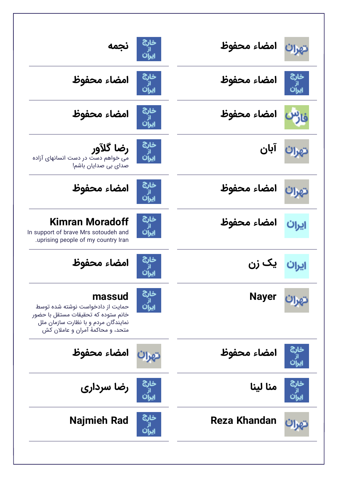| نجمه                                                                                                                                                           | خاری<br>از<br>ایران | امضاء محفوظ  | تهرات                           |
|----------------------------------------------------------------------------------------------------------------------------------------------------------------|---------------------|--------------|---------------------------------|
| امضاء محفوظ                                                                                                                                                    |                     | امضاء محفوظ  | خارج<br>از<br>ایرا <sup>ن</sup> |
| امضاء محفوظ                                                                                                                                                    |                     | امضاء محفوظ  | فار                             |
| <b>رضا گلآور</b><br>می خواهم دست در دست انسانهای آزاده<br>صدای بی صدایان باشم!                                                                                 | خارج<br>از<br>ایران |              | تهرا <sup>ن آبان</sup>          |
| امضاء محفوظ                                                                                                                                                    |                     | امضاء محفوظ  |                                 |
| Kimran Moradoff<br>In support of brave Mrs sotoudeh and<br>uprising people of my country Iran                                                                  | خارج<br>ايران       | امضاء محفوظ  | ايران                           |
| امضاء محفوظ                                                                                                                                                    | خارج<br>"           | ایران یک زن  |                                 |
| massud<br>حمایت از دادخواست نوشته شده توسط<br>خانم ستوده که تحقیقات مستقل با حضور<br>نمایندگان مردم و با نظارت سازمان ملل<br>متحد، و محاکمهٔ آمران و عاملان کش | خارج<br>ايران       | <b>Nayer</b> |                                 |
| امضاء محفوظ                                                                                                                                                    | تهرات               | امضاء محفوظ  | خارج<br>از<br>ایران             |
| رضا سرداری                                                                                                                                                     |                     | منا لينا     | خارج<br>از<br>ایران             |
| Najmieh Rad                                                                                                                                                    | خارج                | Reza Khandan |                                 |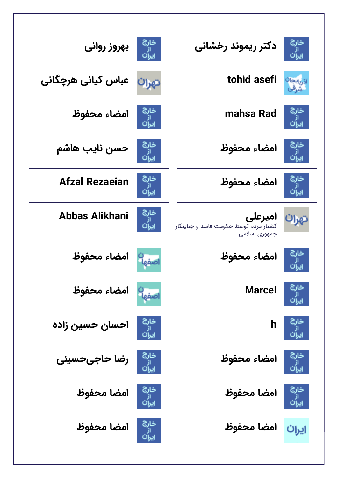| بهروز روانى           | خارج<br>از<br>ایران  | دکتر ریموند رخشانی                                                | خارج<br>ابر<br>ایران |
|-----------------------|----------------------|-------------------------------------------------------------------|----------------------|
| عباس کیانی هرچگانی    | تهرات                | tohid asefi                                                       | نربايجانا            |
| امضاء محفوظ           | خارج<br>از<br>ایران  | mahsa Rad                                                         | خارج<br>ایران        |
| حسن نايب هاشم         | خارج<br>ابر<br>ایران | امضاء محفوظ                                                       | خارج<br>از<br>ایران  |
| <b>Afzal Rezaeian</b> | خارج<br>ايران        | امضاء محفوظ                                                       | خارج<br>از<br>ایران  |
| Abbas Alikhani        | خارج<br>ايرآن        | امیرعلی<br>کشتار مردم توسط حکومت فاسد و جنایتکار<br>جمهوری اسلامی | تهرات                |
| امضاء محفوظ           | Yeao                 | امضاء محفوظ                                                       | خارج                 |
| امضاء محفوظ           | اصفها                | <b>Marcel</b>                                                     | ئارچ<br>يران         |
| احسان حسين زاده       | خارج<br>از<br>ایران  | h                                                                 |                      |
| رضا حاجىحسينى         | خارج<br>از<br>ایران  | امضاء محفوظ                                                       | خارج<br>از<br>ایران  |
| امضا محفوظ            | خارج<br>از<br>ایران  | امضا محفوظ                                                        | خارج<br>از<br>ایران  |
| امضا محفوظ            | خارج<br>از<br>ایران  | امضا محفوظ                                                        | ایران                |